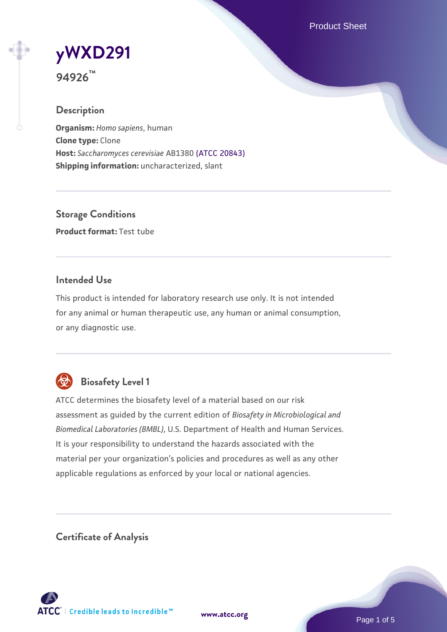Product Sheet

# **[yWXD291](https://www.atcc.org/products/94926)**

**94926™**

#### **Description**

**Organism:** *Homo sapiens*, human **Clone type:** Clone **Host:** *Saccharomyces cerevisiae* AB1380 [\(ATCC 20843\)](https://www.atcc.org/products/20843) **Shipping information:** uncharacterized, slant

**Storage Conditions Product format:** Test tube

#### **Intended Use**

This product is intended for laboratory research use only. It is not intended for any animal or human therapeutic use, any human or animal consumption, or any diagnostic use.



### **Biosafety Level 1**

ATCC determines the biosafety level of a material based on our risk assessment as guided by the current edition of *Biosafety in Microbiological and Biomedical Laboratories (BMBL)*, U.S. Department of Health and Human Services. It is your responsibility to understand the hazards associated with the material per your organization's policies and procedures as well as any other applicable regulations as enforced by your local or national agencies.

**Certificate of Analysis**

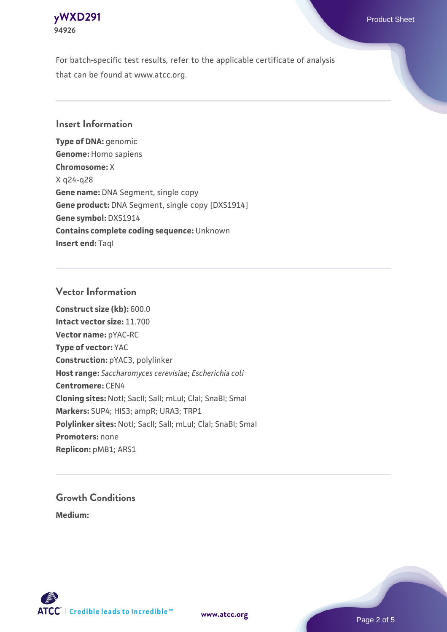

For batch-specific test results, refer to the applicable certificate of analysis that can be found at www.atcc.org.

#### **Insert Information**

**Type of DNA:** genomic **Genome:** Homo sapiens **Chromosome:** X X q24-q28 **Gene name:** DNA Segment, single copy **Gene product:** DNA Segment, single copy [DXS1914] **Gene symbol:** DXS1914 **Contains complete coding sequence:** Unknown **Insert end: Tagl** 

#### **Vector Information**

**Construct size (kb):** 600.0 **Intact vector size:** 11.700 **Vector name:** pYAC-RC **Type of vector:** YAC **Construction:** pYAC3, polylinker **Host range:** *Saccharomyces cerevisiae*; *Escherichia coli* **Centromere:** CEN4 **Cloning sites:** NotI; SacII; SalI; mLuI; ClaI; SnaBI; SmaI **Markers:** SUP4; HIS3; ampR; URA3; TRP1 Polylinker sites: Notl; SacII; SalI; mLuI; ClaI; SnaBI; SmaI **Promoters:** none **Replicon:** pMB1; ARS1

## **Growth Conditions**

**Medium:** 



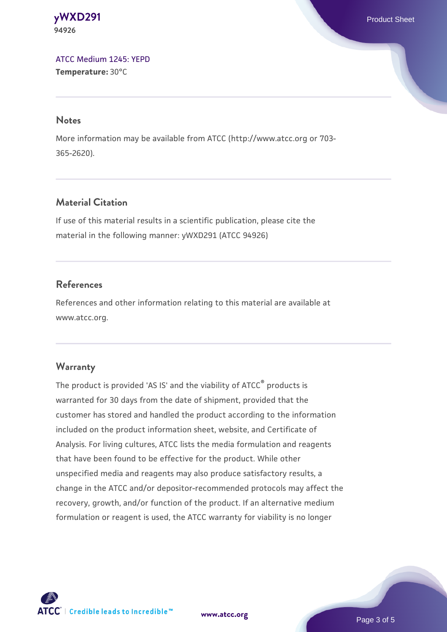**[yWXD291](https://www.atcc.org/products/94926)** Product Sheet **94926**

[ATCC Medium 1245: YEPD](https://www.atcc.org/-/media/product-assets/documents/microbial-media-formulations/1/2/4/5/atcc-medium-1245.pdf?rev=705ca55d1b6f490a808a965d5c072196) **Temperature:** 30°C

#### **Notes**

More information may be available from ATCC (http://www.atcc.org or 703- 365-2620).

#### **Material Citation**

If use of this material results in a scientific publication, please cite the material in the following manner: yWXD291 (ATCC 94926)

#### **References**

References and other information relating to this material are available at www.atcc.org.

#### **Warranty**

The product is provided 'AS IS' and the viability of ATCC® products is warranted for 30 days from the date of shipment, provided that the customer has stored and handled the product according to the information included on the product information sheet, website, and Certificate of Analysis. For living cultures, ATCC lists the media formulation and reagents that have been found to be effective for the product. While other unspecified media and reagents may also produce satisfactory results, a change in the ATCC and/or depositor-recommended protocols may affect the recovery, growth, and/or function of the product. If an alternative medium formulation or reagent is used, the ATCC warranty for viability is no longer



**[www.atcc.org](http://www.atcc.org)**

Page 3 of 5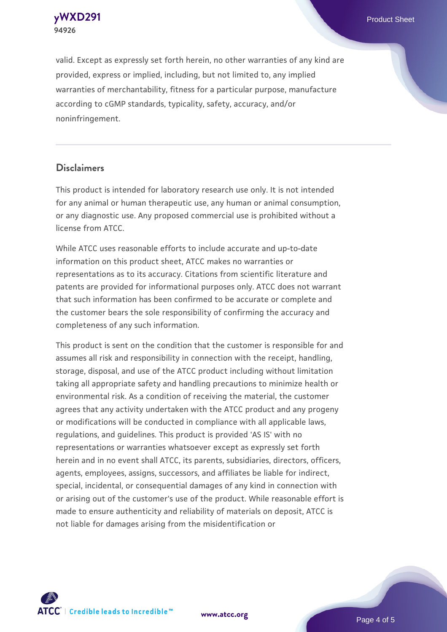

valid. Except as expressly set forth herein, no other warranties of any kind are provided, express or implied, including, but not limited to, any implied warranties of merchantability, fitness for a particular purpose, manufacture according to cGMP standards, typicality, safety, accuracy, and/or noninfringement.

#### **Disclaimers**

This product is intended for laboratory research use only. It is not intended for any animal or human therapeutic use, any human or animal consumption, or any diagnostic use. Any proposed commercial use is prohibited without a license from ATCC.

While ATCC uses reasonable efforts to include accurate and up-to-date information on this product sheet, ATCC makes no warranties or representations as to its accuracy. Citations from scientific literature and patents are provided for informational purposes only. ATCC does not warrant that such information has been confirmed to be accurate or complete and the customer bears the sole responsibility of confirming the accuracy and completeness of any such information.

This product is sent on the condition that the customer is responsible for and assumes all risk and responsibility in connection with the receipt, handling, storage, disposal, and use of the ATCC product including without limitation taking all appropriate safety and handling precautions to minimize health or environmental risk. As a condition of receiving the material, the customer agrees that any activity undertaken with the ATCC product and any progeny or modifications will be conducted in compliance with all applicable laws, regulations, and guidelines. This product is provided 'AS IS' with no representations or warranties whatsoever except as expressly set forth herein and in no event shall ATCC, its parents, subsidiaries, directors, officers, agents, employees, assigns, successors, and affiliates be liable for indirect, special, incidental, or consequential damages of any kind in connection with or arising out of the customer's use of the product. While reasonable effort is made to ensure authenticity and reliability of materials on deposit, ATCC is not liable for damages arising from the misidentification or



**[www.atcc.org](http://www.atcc.org)**

Page 4 of 5